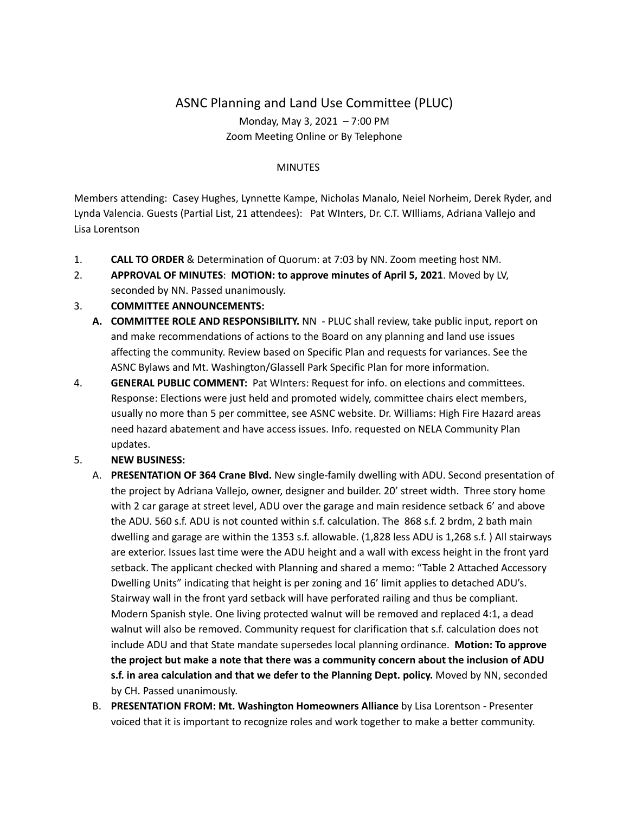## ASNC Planning and Land Use Committee (PLUC) Monday, May 3, 2021 – 7:00 PM Zoom Meeting Online or By Telephone

## **MINUTES**

Members attending: Casey Hughes, Lynnette Kampe, Nicholas Manalo, Neiel Norheim, Derek Ryder, and Lynda Valencia. Guests (Partial List, 21 attendees): Pat WInters, Dr. C.T. WIlliams, Adriana Vallejo and Lisa Lorentson

- 1. **CALL TO ORDER** & Determination of Quorum: at 7:03 by NN. Zoom meeting host NM.
- 2. **APPROVAL OF MINUTES**: **MOTION: to approve minutes of April 5, 2021**. Moved by LV, seconded by NN. Passed unanimously.

## 3. **COMMITTEE ANNOUNCEMENTS:**

- **A. COMMITTEE ROLE AND RESPONSIBILITY.** NN PLUC shall review, take public input, report on and make recommendations of actions to the Board on any planning and land use issues affecting the community. Review based on Specific Plan and requests for variances. See the ASNC Bylaws and Mt. Washington/Glassell Park Specific Plan for more information.
- 4. **GENERAL PUBLIC COMMENT:** Pat WInters: Request for info. on elections and committees. Response: Elections were just held and promoted widely, committee chairs elect members, usually no more than 5 per committee, see ASNC website. Dr. Williams: High Fire Hazard areas need hazard abatement and have access issues. Info. requested on NELA Community Plan updates.
- 5. **NEW BUSINESS:**
	- A. **PRESENTATION OF 364 Crane Blvd.** New single-family dwelling with ADU. Second presentation of the project by Adriana Vallejo, owner, designer and builder. 20' street width. Three story home with 2 car garage at street level, ADU over the garage and main residence setback 6' and above the ADU. 560 s.f. ADU is not counted within s.f. calculation. The 868 s.f. 2 brdm, 2 bath main dwelling and garage are within the 1353 s.f. allowable. (1,828 less ADU is 1,268 s.f. ) All stairways are exterior. Issues last time were the ADU height and a wall with excess height in the front yard setback. The applicant checked with Planning and shared a memo: "Table 2 Attached Accessory Dwelling Units" indicating that height is per zoning and 16' limit applies to detached ADU's. Stairway wall in the front yard setback will have perforated railing and thus be compliant. Modern Spanish style. One living protected walnut will be removed and replaced 4:1, a dead walnut will also be removed. Community request for clarification that s.f. calculation does not include ADU and that State mandate supersedes local planning ordinance. **Motion: To approve the project but make a note that there was a community concern about the inclusion of ADU s.f. in area calculation and that we defer to the Planning Dept. policy.** Moved by NN, seconded by CH. Passed unanimously.
	- B. **PRESENTATION FROM: Mt. Washington Homeowners Alliance** by Lisa Lorentson Presenter voiced that it is important to recognize roles and work together to make a better community.